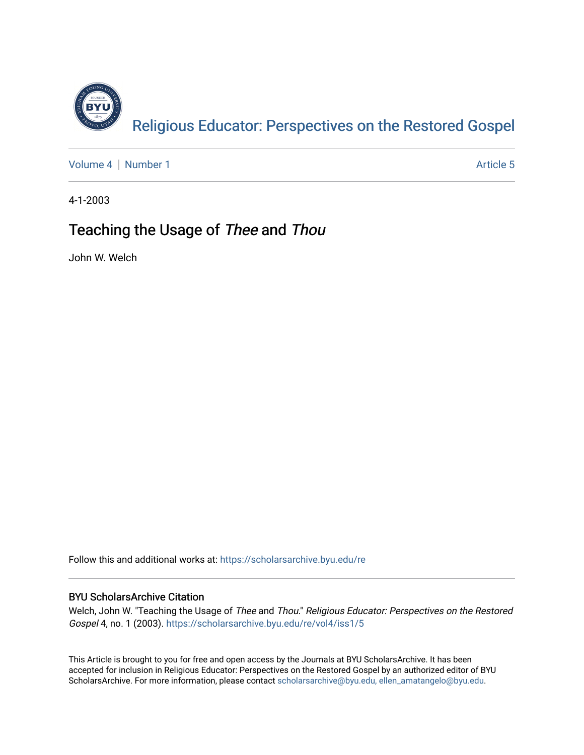

[Volume 4](https://scholarsarchive.byu.edu/re/vol4) | [Number 1](https://scholarsarchive.byu.edu/re/vol4/iss1) Article 5

4-1-2003

#### Teaching the Usage of Thee and Thou

John W. Welch

Follow this and additional works at: [https://scholarsarchive.byu.edu/re](https://scholarsarchive.byu.edu/re?utm_source=scholarsarchive.byu.edu%2Fre%2Fvol4%2Fiss1%2F5&utm_medium=PDF&utm_campaign=PDFCoverPages)

#### BYU ScholarsArchive Citation

Welch, John W. "Teaching the Usage of Thee and Thou." Religious Educator: Perspectives on the Restored Gospel 4, no. 1 (2003). [https://scholarsarchive.byu.edu/re/vol4/iss1/5](https://scholarsarchive.byu.edu/re/vol4/iss1/5?utm_source=scholarsarchive.byu.edu%2Fre%2Fvol4%2Fiss1%2F5&utm_medium=PDF&utm_campaign=PDFCoverPages) 

This Article is brought to you for free and open access by the Journals at BYU ScholarsArchive. It has been accepted for inclusion in Religious Educator: Perspectives on the Restored Gospel by an authorized editor of BYU ScholarsArchive. For more information, please contact [scholarsarchive@byu.edu, ellen\\_amatangelo@byu.edu.](mailto:scholarsarchive@byu.edu,%20ellen_amatangelo@byu.edu)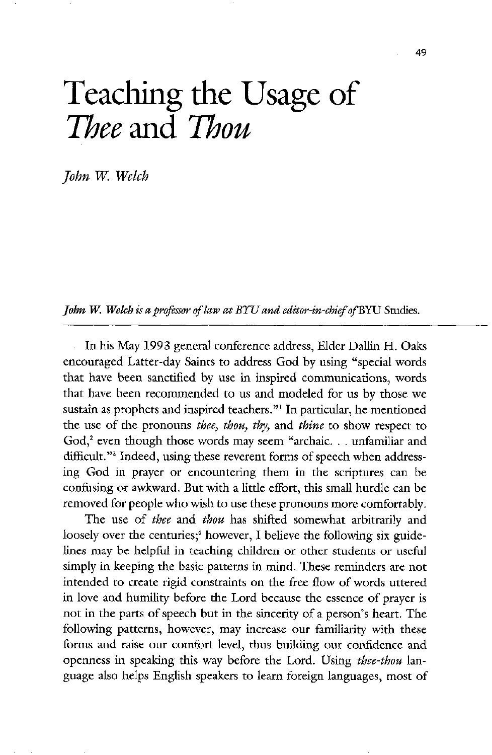# Teaching the Usage of Thee and Thou

John W. Welch

**John W. Welch** is a professor of law at BYU and editor-in-chief of BYU Studies.

In his May 1993 general conference address, Elder Dallin H. Oaks encouraged Latter-day Saints to address God by using "special words that have been sanctified by use in inspired communications, words that have been recommended to us and modeled for us by those we sustain as prophets and inspired teachers."<sup>1</sup> In particular, he mentioned the use of the pronouns thee, thou, thy, and thine to show respect to God,<sup>2</sup> even though those words may seem "archaic... unfamiliar and difficult."<sup>3</sup> Indeed, using these reverent forms of speech when addressing God in prayer or encountering them in the scriptures can be confusing or awkward. But with a little effort, this small hurdle can be removed for people who wish to use these pronouns more comfortably The use of thee and thou has shifted somewhat arbitrarily and loosely over the centuries;<sup>4</sup> however, I believe the following six guidelines may be helpful in teaching children or other students or useful simply in keeping the basic patterns in mind. These reminders are not intended to create rigid constraints on the free flow of words uttered in love and humility before the lord because the essence of prayer is not in the parts of speech but in the sincerity of a person's heart. The following patterns, however, may increase our familiarity with these forms and raise our comfort level, thus building our confidence and openness in speaking this way before the Lord. Using thee-thou language also helps English speakers to learn foreign languages, most of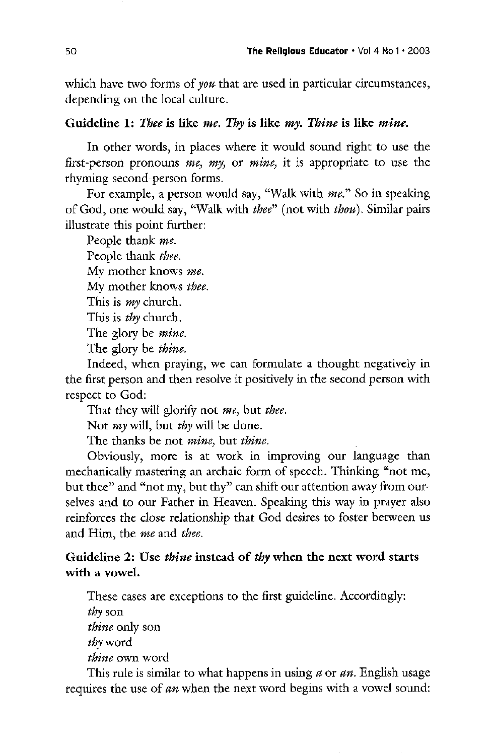which have two forms of *you* that are used in particular circumstances, depending on the local culture

## Guideline 1: Thee is like me. Thy is like my. Thine is like mine.

In other words, in places where it would sound right to use the first-person pronouns me, my, or mine, it is appropriate to use the rhyming second-person forms.

For example, a person would say, "Walk with me." So in speaking of God, one would say, "Walk with thee" (not with thou). Similar pairs illustrate this point further

People thank me.

People thank *thee*.

My mother knows me.

My mother knows thee.

This is  $my$  church.

This is *thy* church.

The glory be *mine*.

The glory be *thine*.

Indeed, when praying, we can formulate a thought negatively in the first person and then resolve it positively in the second person with respect to God:

That they will glorify not me, but thee.

Not *my* will, but *thy* will be done.

The thanks be not *mine*, but *thine*.

Obviously, more is at work in improving our language than mechanically mastering an archaic form of speech. Thinking "not me, but thee" and "not my, but thy" can shift our attention away from ourselves and to our Father in Heaven. Speaking this way in prayer also reinforces the close relationship that god desires to foster between us and Him, the *me* and *thee*.

# Guideline 2: Use *thine* instead of thy when the next word starts with a vowel.

These cases are exceptions to the first guideline. Accordingly:  $$ 

thine only son

thy word

thine own word

This rule is similar to what happens in using  $a$  or  $an$ . English usage requires the use of an when the next word begins with a vowel sound: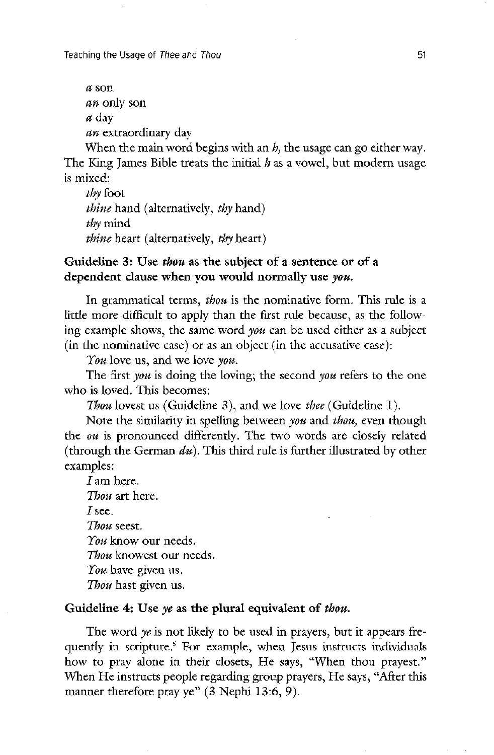Teaching the Usage of Thee and Thou 51

```
a son
an only son
a day
an extraordinary day
```
When the main word begins with an  $h$ , the usage can go either way. The King James Bible treats the initial  $h$  as a vowel, but modern usage is mixed

thy foot *thine* hand (alternatively, *thy* hand) thy mind thine heart (alternatively, thy heart)

Guideline 3: Use thou as the subject of a sentence or of a dependent clause when you would normally use you.

In grammatical terms, thou is the nominative form. This rule is a little more difficult to apply than the first rule because, as the following example shows, the same word you can be used either as a subject  $(in the nominative case)$  or as an object  $(in the acoustic case)$ :

 $\gamma$ *ou* love us, and we love *you*.

The first you is doing the loving; the second you refers to the one who is loved. This becomes:

Thou lovest us (Guideline 3), and we love thee (Guideline 1).

Note the similarity in spelling between you and thou, even though the  $\omega u$  is pronounced differently. The two words are closely related (through the German  $du$ ). This third rule is further illustrated by other examples

 $I$  am here. Thou art here.  $I$  see. Thou seest.  $\gamma$ *ou* know our needs. Thou knowest our needs.  $\gamma$ *ou* have given us. Thou hast given us.

# Guideline 4: Use ye as the plural equivalent of thou.

The word ye is not likely to be used in prayers, but it appears frequently in scripture.<sup>5</sup> For example, when Jesus instructs individuals how to pray alone in their closets, He says, "When thou prayest." When He instructs people regarding group prayers, He says, "After this manner therefore pray ye"  $(3$  Nephi 13:6, 9).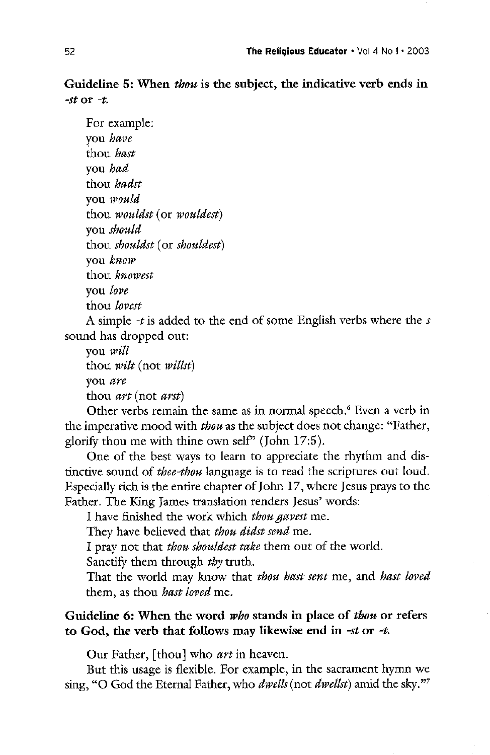Guideline 5: When thou is the subject, the indicative verb ends in -st or  $-t$ .

For example: you have thou *hast* you *had* thou *hadst* you would thou *wouldst* (or *wouldest*) you should thou shouldst (or shouldest) you know thou knowest you love thou *lovest* A simple  $-t$  is added to the end of some English verbs where the  $s$ sound has dropped out

you will thou  $\textit{wilt}$  (not  $\textit{willst}$ )

you are

thou  $\textit{art}$  (not  $\textit{arst}$ )

Other verbs remain the same as in normal speech.<sup>6</sup> Even a verb in the imperative mood with thou as the subject does not change: "Father, glorify thou me with thine own self" (John  $17:5$ ).

One of the best ways to learn to appreciate the rhythm and distinctive sound of *thee-thou* language is to read the scriptures out loud. Especially rich is the entire chapter of John 17, where Jesus prays to the Father. The King James translation renders Jesus' words:

I have finished the work which thou gavest me.

They have believed that *thou didst send* me.

I pray not that *thou shouldest take* them out of the world.

Sanctify them through *thy* truth.

That the world may know that *thou hast sent* me, and *hast loved* them, as thou *hast loved* me.

Guideline 6: When the word *who* stands in place of *thou* or refers to God, the verb that follows may likewise end in -st or -t.

Our Father, [thou] who *art* in heaven.

But this usage is flexible. For example, in the sacrament hymn we sing, "O God the Eternal Father, who *dwells* (not *dwellst*) amid the sky."<sup>7</sup>